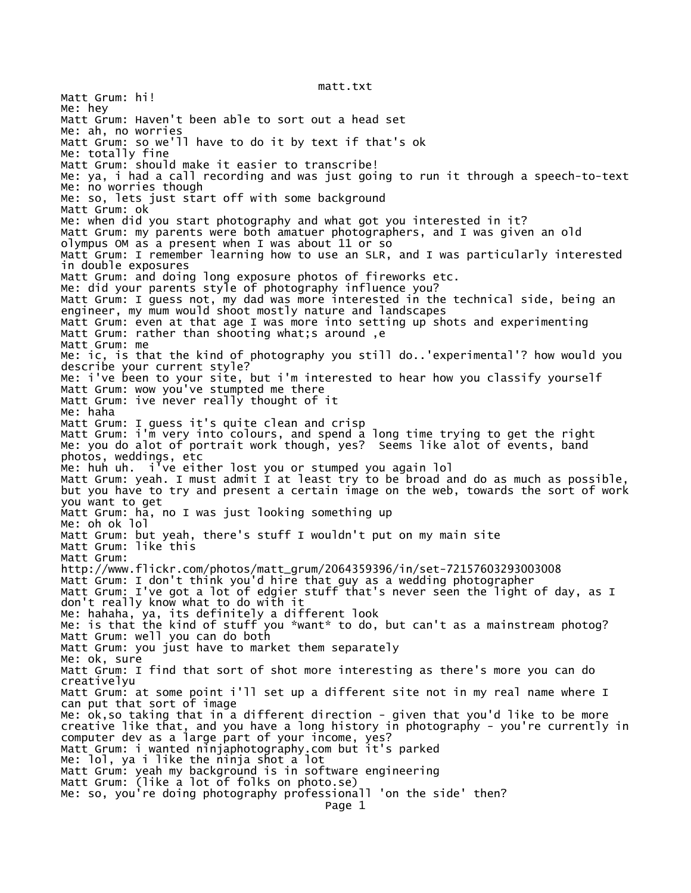Matt Grum: hi! Me: hey Matt Grum: Haven't been able to sort out a head set Me: ah, no worries Matt Grum: so we'll have to do it by text if that's ok Me: totally fine Matt Grum: should make it easier to transcribe! Me: ya, i had a call recording and was just going to run it through a speech-to-text Me: no worries though Me: so, lets just start off with some background Matt Grum: ok Me: when did you start photography and what got you interested in it? Matt Grum: my parents were both amatuer photographers, and I was given an old olympus OM as a present when I was about 11 or so Matt Grum: I remember learning how to use an SLR, and I was particularly interested in double exposures Matt Grum: and doing long exposure photos of fireworks etc. Me: did your parents style of photography influence you? Matt Grum: I guess not, my dad was more interested in the technical side, being an engineer, my mum would shoot mostly nature and landscapes Matt Grum: even at that age I was more into setting up shots and experimenting Matt Grum: rather than shooting what;s around ,e Matt Grum: me Me: ic, is that the kind of photography you still do..'experimental'? how would you describe your current style? Me: i've been to your site, but i'm interested to hear how you classify yourself Matt Grum: wow you've stumpted me there Matt Grum: ive never really thought of it Me: haha Matt Grum: I guess it's quite clean and crisp Matt Grum: i'm very into colours, and spend a long time trying to get the right Me: you do alot of portrait work though, yes? Seems like alot of events, band photos, weddings, etc Me: huh uh. i've either lost you or stumped you again lol Matt Grum: yeah. I must admit I at least try to be broad and do as much as possible, but you have to try and present a certain image on the web, towards the sort of work you want to get Matt Grum: ha, no I was just looking something up Me: oh ok lol Matt Grum: but yeah, there's stuff I wouldn't put on my main site Matt Grum: like this Matt Grum: http://www.flickr.com/photos/matt\_grum/2064359396/in/set-72157603293003008 Matt Grum: I don't think you'd hire that guy as a wedding photographer Matt Grum: I've got a lot of edgier stuff that's never seen the light of day, as I don't really know what to do with it Me: hahaha, ya, its definitely a different look Me: is that the kind of stuff you \*want\* to do, but can't as a mainstream photog? Matt Grum: well you can do both Matt Grum: you just have to market them separately Me: ok, sure Matt Grum: I find that sort of shot more interesting as there's more you can do creativelyu Matt Grum: at some point i'll set up a different site not in my real name where I can put that sort of image Me: ok,so taking that in a different direction - given that you'd like to be more creative like that, and you have a long history in photography - you're currently in computer dev as a large part of your income, yes? Matt Grum: i wanted ninjaphotography.com but it's parked Me: lol, ya i like the ninja shot a lot Matt Grum: yeah my background is in software engineering Matt Grum: (like a lot of folks on photo.se) Me: so, you're doing photography professionall 'on the side' then? Page 1

matt.txt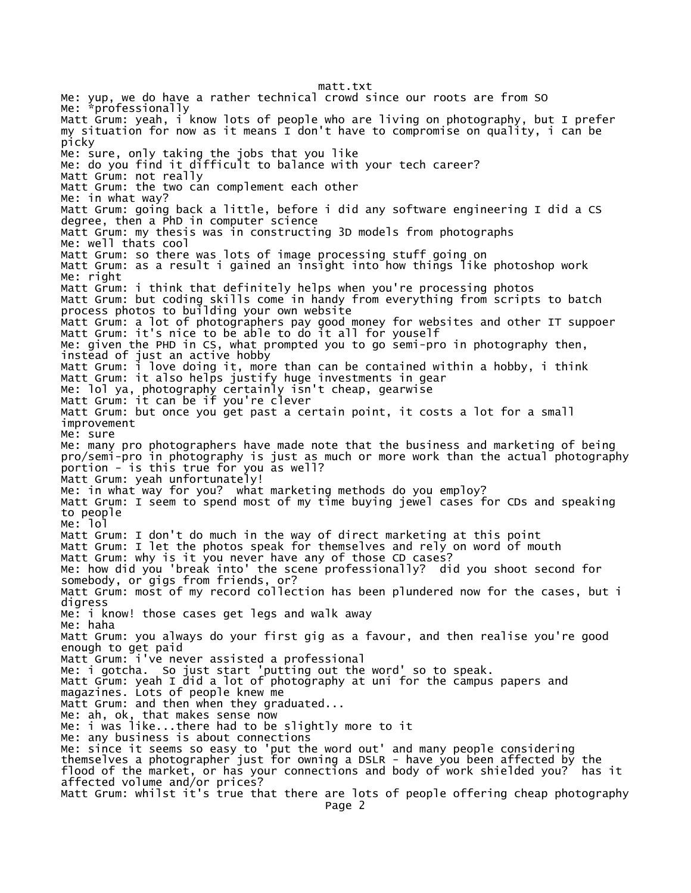matt.txt Me: yup, we do have a rather technical crowd since our roots are from SO Me: \*professionally Matt Grum: yeah, i know lots of people who are living on photography, but I prefer my situation for now as it means I don't have to compromise on quality, i can be picky Me: sure, only taking the jobs that you like Me: do you find it difficult to balance with your tech career? Matt Grum: not really Matt Grum: the two can complement each other Me: in what way? Matt Grum: going back a little, before i did any software engineering I did a CS degree, then a PhD in computer science Matt Grum: my thesis was in constructing 3D models from photographs Me: well thats cool Matt Grum: so there was lots of image processing stuff going on Matt Grum: as a result i gained an insight into how things like photoshop work Me: right Matt Grum: i think that definitely helps when you're processing photos Matt Grum: but coding skills come in handy from everything from scripts to batch process photos to building your own website Matt Grum: a lot of photographers pay good money for websites and other IT suppoer Matt Grum: it's nice to be able to do it all for youself Me: given the PHD in CS, what prompted you to go semi-pro in photography then, instead of just an active hobby Matt Grum: i love doing it, more than can be contained within a hobby, i think Matt Grum: it also helps justify huge investments in gear Me: lol ya, photography certainly isn't cheap, gearwise Matt Grum: it can be if you're clever Matt Grum: but once you get past a certain point, it costs a lot for a small improvement Me: sure Me: many pro photographers have made note that the business and marketing of being pro/semi-pro in photography is just as much or more work than the actual photography portion - is this true for you as well? Matt Grum: yeah unfortunately! Me: in what way for you? what marketing methods do you employ? Matt Grum: I seem to spend most of my time buying jewel cases for CDs and speaking to people Me: lol Matt Grum: I don't do much in the way of direct marketing at this point Matt Grum: I let the photos speak for themselves and rely on word of mouth Matt Grum: why is it you never have any of those CD cases? Me: how did you 'break into' the scene professionally? did you shoot second for somebody, or gigs from friends, or? Matt Grum: most of my record collection has been plundered now for the cases, but i digress Me: i know! those cases get legs and walk away Me: haha Matt Grum: you always do your first gig as a favour, and then realise you're good enough to get paid Matt Grum: i've never assisted a professional Me: i gotcha. So just start 'putting out the word' so to speak. Matt Grum: yeah I did a lot of photography at uni for the campus papers and magazines. Lots of people knew me Matt Grum: and then when they graduated... Me: ah, ok, that makes sense now Me: i was like...there had to be slightly more to it Me: any business is about connections Me: since it seems so easy to 'put the word out' and many people considering themselves a photographer just for owning a DSLR - have you been affected by the flood of the market, or has your connections and body of work shielded you? has it affected volume and/or prices? Matt Grum: whilst it's true that there are lots of people offering cheap photography Page 2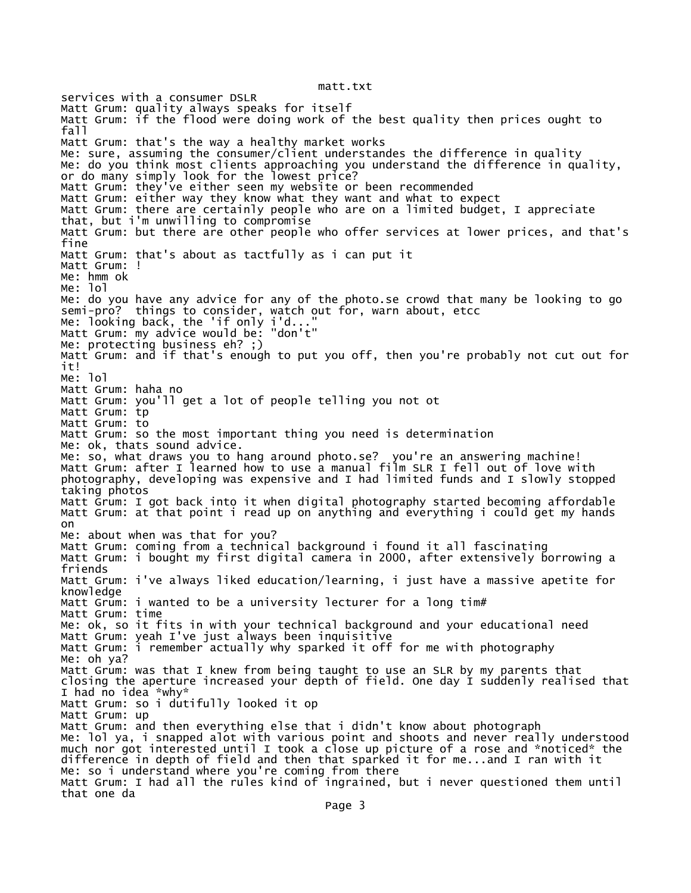matt.txt

services with a consumer DSLR Matt Grum: quality always speaks for itself Matt Grum: if the flood were doing work of the best quality then prices ought to fall Matt Grum: that's the way a healthy market works Me: sure, assuming the consumer/client understandes the difference in quality Me: do you think most clients approaching you understand the difference in quality, or do many simply look for the lowest price? Matt Grum: they've either seen my website or been recommended Matt Grum: either way they know what they want and what to expect Matt Grum: there are certainly people who are on a limited budget, I appreciate that, but i'm unwilling to compromise Matt Grum: but there are other people who offer services at lower prices, and that's fine Matt Grum: that's about as tactfully as i can put it Matt Grum: ! Me: hmm ok Me: lol Me: do you have any advice for any of the photo.se crowd that many be looking to go semi-pro? things to consider, watch out for, warn about, etcc Me: looking back, the 'if only i'd..." Matt Grum: my advice would be: "don't" Me: protecting business eh? ;) Matt Grum: and if that's enough to put you off, then you're probably not cut out for it! Me: lol Matt Grum: haha no Matt Grum: you'll get a lot of people telling you not ot Matt Grum: tp Matt Grum: to Matt Grum: so the most important thing you need is determination Me: ok, thats sound advice. Me: so, what draws you to hang around photo.se? you're an answering machine! Matt Grum: after I learned how to use a manual film SLR I fell out of love with photography, developing was expensive and I had limited funds and I slowly stopped taking photos Matt Grum: I got back into it when digital photography started becoming affordable Matt Grum: at that point i read up on anything and everything i could get my hands on Me: about when was that for you? Matt Grum: coming from a technical background i found it all fascinating Matt Grum: i bought my first digital camera in 2000, after extensively borrowing a friends Matt Grum: i've always liked education/learning, i just have a massive apetite for knowledge Matt Grum: i wanted to be a university lecturer for a long tim# Matt Grum: time Me: ok, so it fits in with your technical background and your educational need Matt Grum: yeah I've just always been inquisitive Matt Grum: i remember actually why sparked it off for me with photography Me: oh ya? Matt Grum: was that I knew from being taught to use an SLR by my parents that closing the aperture increased your depth of field. One day I suddenly realised that I had no idea \*why\* Matt Grum: so i dutifully looked it op Matt Grum: up Matt Grum: and then everything else that i didn't know about photograph Me: lol ya, i snapped alot with various point and shoots and never really understood much nor got interested until I took a close up picture of a rose and \*noticed\* the difference in depth of field and then that sparked it for me...and I ran with it Me: so i understand where you're coming from there Matt Grum: I had all the rules kind of ingrained, but i never questioned them until that one da